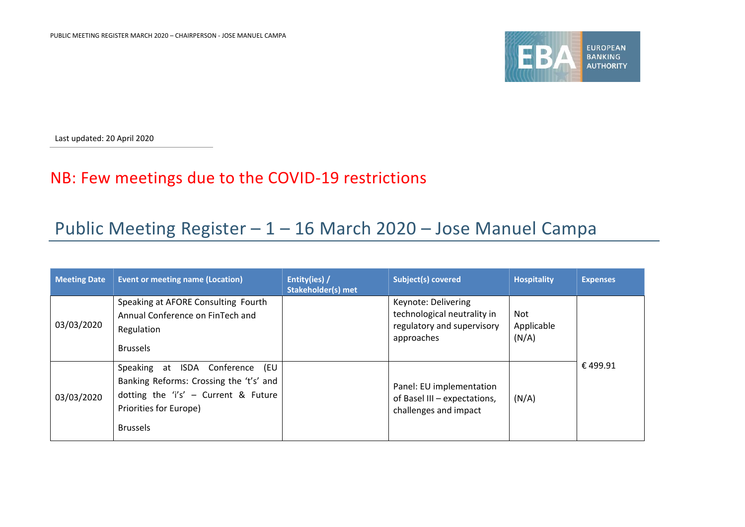

Last updated: 20 April 2020

## NB: Few meetings due to the COVID-19 restrictions

## Public Meeting Register – 1 – 16 March 2020 – Jose Manuel Campa

| <b>Meeting Date</b> | <b>Event or meeting name (Location)</b>                                                                                                                            | Entity(ies) /<br><b>Stakeholder(s) met</b> | Subject(s) covered                                                                             | <b>Hospitality</b>         | <b>Expenses</b> |
|---------------------|--------------------------------------------------------------------------------------------------------------------------------------------------------------------|--------------------------------------------|------------------------------------------------------------------------------------------------|----------------------------|-----------------|
| 03/03/2020          | Speaking at AFORE Consulting Fourth<br>Annual Conference on FinTech and<br>Regulation<br><b>Brussels</b>                                                           |                                            | Keynote: Delivering<br>technological neutrality in<br>regulatory and supervisory<br>approaches | Not<br>Applicable<br>(N/A) |                 |
| 03/03/2020          | Speaking at ISDA Conference<br>(EU<br>Banking Reforms: Crossing the 't's' and<br>dotting the 'i's' - Current & Future<br>Priorities for Europe)<br><b>Brussels</b> |                                            | Panel: EU implementation<br>of Basel III - expectations,<br>challenges and impact              | (N/A)                      | €499.91         |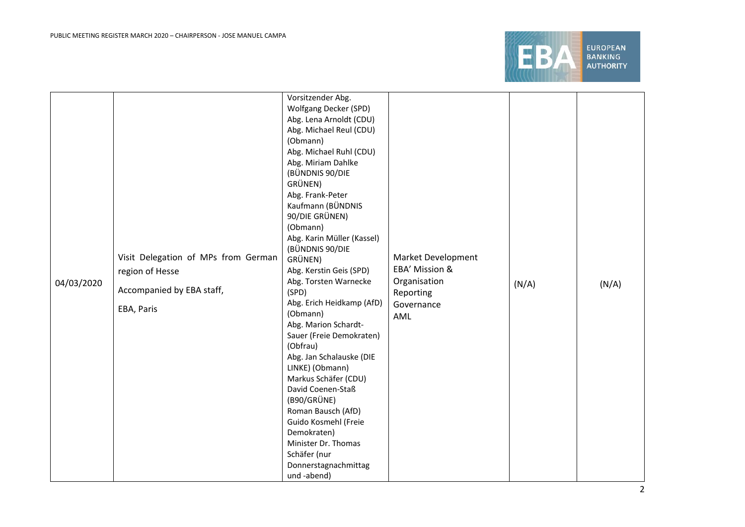